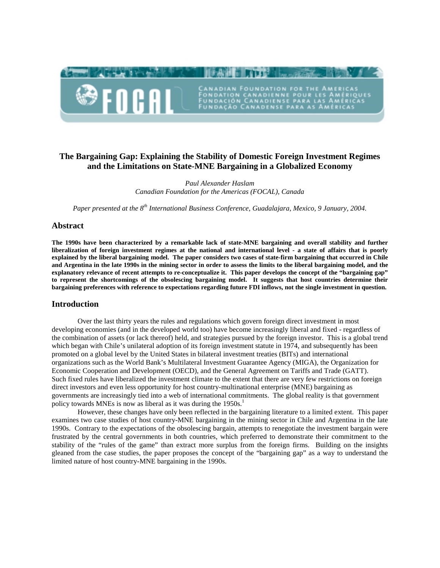

# **The Bargaining Gap: Explaining the Stability of Domestic Foreign Investment Regimes and the Limitations on State-MNE Bargaining in a Globalized Economy**

*Paul Alexander Haslam Canadian Foundation for the Americas (FOCAL), Canada* 

*Paper presented at the 8th International Business Conference, Guadalajara, Mexico, 9 January, 2004.* 

### **Abstract**

**The 1990s have been characterized by a remarkable lack of state-MNE bargaining and overall stability and further liberalization of foreign investment regimes at the national and international level - a state of affairs that is poorly explained by the liberal bargaining model. The paper considers two cases of state-firm bargaining that occurred in Chile and Argentina in the late 1990s in the mining sector in order to assess the limits to the liberal bargaining model, and the explanatory relevance of recent attempts to re-conceptualize it. This paper develops the concept of the "bargaining gap" to represent the shortcomings of the obsolescing bargaining model. It suggests that host countries determine their bargaining preferences with reference to expectations regarding future FDI inflows, not the single investment in question.** 

### **Introduction**

Over the last thirty years the rules and regulations which govern foreign direct investment in most developing economies (and in the developed world too) have become increasingly liberal and fixed - regardless of the combination of assets (or lack thereof) held, and strategies pursued by the foreign investor. This is a global trend which began with Chile's unilateral adoption of its foreign investment statute in 1974, and subsequently has been promoted on a global level by the United States in bilateral investment treaties (BITs) and international organizations such as the World Bank's Multilateral Investment Guarantee Agency (MIGA), the Organization for Economic Cooperation and Development (OECD), and the General Agreement on Tariffs and Trade (GATT). Such fixed rules have liberalized the investment climate to the extent that there are very few restrictions on foreign direct investors and even less opportunity for host country-multinational enterprise (MNE) bargaining as governments are increasingly tied into a web of international commitments. The global reality is that government policy towards MNEs is now as liberal as it was during the 1950s.<sup>1</sup>

However, these changes have only been reflected in the bargaining literature to a limited extent. This paper examines two case studies of host country-MNE bargaining in the mining sector in Chile and Argentina in the late 1990s. Contrary to the expectations of the obsolescing bargain, attempts to renegotiate the investment bargain were frustrated by the central governments in both countries, which preferred to demonstrate their commitment to the stability of the "rules of the game" than extract more surplus from the foreign firms. Building on the insights gleaned from the case studies, the paper proposes the concept of the "bargaining gap" as a way to understand the limited nature of host country-MNE bargaining in the 1990s.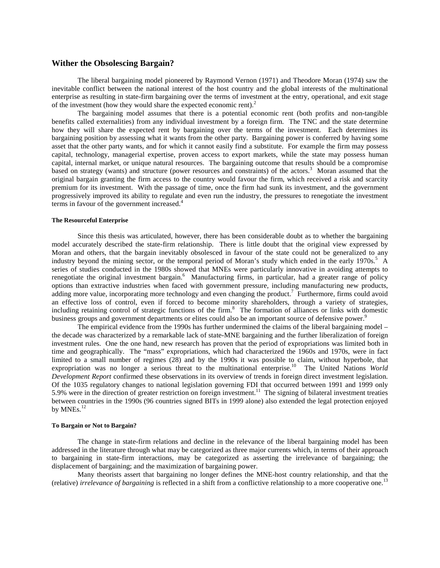### **Wither the Obsolescing Bargain?**

The liberal bargaining model pioneered by Raymond Vernon (1971) and Theodore Moran (1974) saw the inevitable conflict between the national interest of the host country and the global interests of the multinational enterprise as resulting in state-firm bargaining over the terms of investment at the entry, operational, and exit stage of the investment (how they would share the expected economic rent).<sup>2</sup>

The bargaining model assumes that there is a potential economic rent (both profits and non-tangible benefits called externalities) from any individual investment by a foreign firm. The TNC and the state determine how they will share the expected rent by bargaining over the terms of the investment. Each determines its bargaining position by assessing what it wants from the other party. Bargaining power is conferred by having some asset that the other party wants, and for which it cannot easily find a substitute. For example the firm may possess capital, technology, managerial expertise, proven access to export markets, while the state may possess human capital, internal market, or unique natural resources. The bargaining outcome that results should be a compromise based on strategy (wants) and structure (power resources and constraints) of the actors.<sup>3</sup> Moran assumed that the original bargain granting the firm access to the country would favour the firm, which received a risk and scarcity premium for its investment. With the passage of time, once the firm had sunk its investment, and the government progressively improved its ability to regulate and even run the industry, the pressures to renegotiate the investment terms in favour of the government increased.<sup>4</sup>

#### **The Resourceful Enterprise**

Since this thesis was articulated, however, there has been considerable doubt as to whether the bargaining model accurately described the state-firm relationship. There is little doubt that the original view expressed by Moran and others, that the bargain inevitably obsolesced in favour of the state could not be generalized to any industry beyond the mining sector, or the temporal period of Moran's study which ended in the early 1970s.<sup>5</sup> A series of studies conducted in the 1980s showed that MNEs were particularly innovative in avoiding attempts to renegotiate the original investment bargain.<sup>6</sup> Manufacturing firms, in particular, had a greater range of policy options than extractive industries when faced with government pressure, including manufacturing new products, adding more value, incorporating more technology and even changing the product.<sup>7</sup> Furthermore, firms could avoid an effective loss of control, even if forced to become minority shareholders, through a variety of strategies, including retaining control of strategic functions of the firm.<sup>8</sup> The formation of alliances or links with domestic business groups and government departments or elites could also be an important source of defensive power.<sup>9</sup>

The empirical evidence from the 1990s has further undermined the claims of the liberal bargaining model – the decade was characterized by a remarkable lack of state-MNE bargaining and the further liberalization of foreign investment rules. One the one hand, new research has proven that the period of expropriations was limited both in time and geographically. The "mass" expropriations, which had characterized the 1960s and 1970s, were in fact limited to a small number of regimes (28) and by the 1990s it was possible to claim, without hyperbole, that expropriation was no longer a serious threat to the multinational enterprise.10 The United Nations *World Development Report* confirmed these observations in its overview of trends in foreign direct investment legislation. Of the 1035 regulatory changes to national legislation governing FDI that occurred between 1991 and 1999 only 5.9% were in the direction of greater restriction on foreign investment.<sup>11</sup> The signing of bilateral investment treaties between countries in the 1990s (96 countries signed BITs in 1999 alone) also extended the legal protection enjoyed by MNEs.<sup>12</sup>

#### **To Bargain or Not to Bargain?**

The change in state-firm relations and decline in the relevance of the liberal bargaining model has been addressed in the literature through what may be categorized as three major currents which, in terms of their approach to bargaining in state-firm interactions, may be categorized as asserting the irrelevance of bargaining; the displacement of bargaining; and the maximization of bargaining power.

Many theorists assert that bargaining no longer defines the MNE-host country relationship, and that the (relative) *irrelevance of bargaining* is reflected in a shift from a conflictive relationship to a more cooperative one.13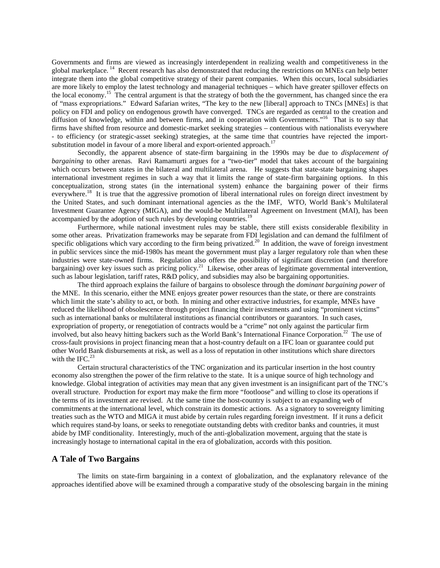Governments and firms are viewed as increasingly interdependent in realizing wealth and competitiveness in the global marketplace.  $14$  Recent research has also demonstrated that reducing the restrictions on MNEs can help better integrate them into the global competitive strategy of their parent companies. When this occurs, local subsidiaries are more likely to employ the latest technology and managerial techniques – which have greater spillover effects on the local economy.15 The central argument is that the strategy of both the the government, has changed since the era of "mass expropriations." Edward Safarian writes, "The key to the new [liberal] approach to TNCs [MNEs] is that policy on FDI and policy on endogenous growth have converged. TNCs are regarded as central to the creation and diffusion of knowledge, within and between firms, and in cooperation with Governments."<sup>16</sup> That is to say that firms have shifted from resource and domestic-market seeking strategies – contentious with nationalists everywhere - to efficiency (or strategic-asset seeking) strategies, at the same time that countries have rejected the importsubstitution model in favour of a more liberal and export-oriented approach.<sup>17</sup>

Secondly, the apparent absence of state-firm bargaining in the 1990s may be due to *displacement of bargaining* to other arenas. Ravi Ramamurti argues for a "two-tier" model that takes account of the bargaining which occurs between states in the bilateral and multilateral arena. He suggests that state-state bargaining shapes international investment regimes in such a way that it limits the range of state-firm bargaining options. In this conceptualization, strong states (in the international system) enhance the bargaining power of their firms everywhere.<sup>18</sup> It is true that the aggressive promotion of liberal international rules on foreign direct investment by the United States, and such dominant international agencies as the the IMF, WTO, World Bank's Multilateral Investment Guarantee Agency (MIGA), and the would-be Multilateral Agreement on Investment (MAI), has been accompanied by the adoption of such rules by developing countries.<sup>19</sup>

Furthermore, while national investment rules may be stable, there still exists considerable flexibility in some other areas. Privatization frameworks may be separate from FDI legislation and can demand the fulfilment of specific obligations which vary according to the firm being privatized.<sup>20</sup> In addition, the wave of foreign investment in public services since the mid-1980s has meant the government must play a larger regulatory role than when these industries were state-owned firms. Regulation also offers the possibility of significant discretion (and therefore bargaining) over key issues such as pricing policy.<sup>21</sup> Likewise, other areas of legitimate governmental intervention, such as labour legislation, tariff rates, R&D policy, and subsidies may also be bargaining opportunities.

The third approach explains the failure of bargains to obsolesce through the *dominant bargaining power* of the MNE. In this scenario, either the MNE enjoys greater power resources than the state, or there are constraints which limit the state's ability to act, or both. In mining and other extractive industries, for example, MNEs have reduced the likelihood of obsolescence through project financing their investments and using "prominent victims" such as international banks or multilateral institutions as financial contributors or guarantors. In such cases, expropriation of property, or renegotiation of contracts would be a "crime" not only against the particular firm involved, but also heavy hitting backers such as the World Bank's International Finance Corporation.<sup>22</sup> The use of cross-fault provisions in project financing mean that a host-country default on a IFC loan or guarantee could put other World Bank disbursements at risk, as well as a loss of reputation in other institutions which share directors with the IFC. $^{23}$ 

Certain structural characteristics of the TNC organization and its particular insertion in the host country economy also strengthen the power of the firm relative to the state. It is a unique source of high technology and knowledge. Global integration of activities may mean that any given investment is an insignificant part of the TNC's overall structure. Production for export may make the firm more "footloose" and willing to close its operations if the terms of its investment are revised. At the same time the host-country is subject to an expanding web of commitments at the international level, which constrain its domestic actions. As a signatory to sovereignty limiting treaties such as the WTO and MIGA it must abide by certain rules regarding foreign investment. If it runs a deficit which requires stand-by loans, or seeks to renegotiate outstanding debts with creditor banks and countries, it must abide by IMF conditionality. Interestingly, much of the anti-globalization movement, arguing that the state is increasingly hostage to international capital in the era of globalization, accords with this position.

### **A Tale of Two Bargains**

 The limits on state-firm bargaining in a context of globalization, and the explanatory relevance of the approaches identified above will be examined through a comparative study of the obsolescing bargain in the mining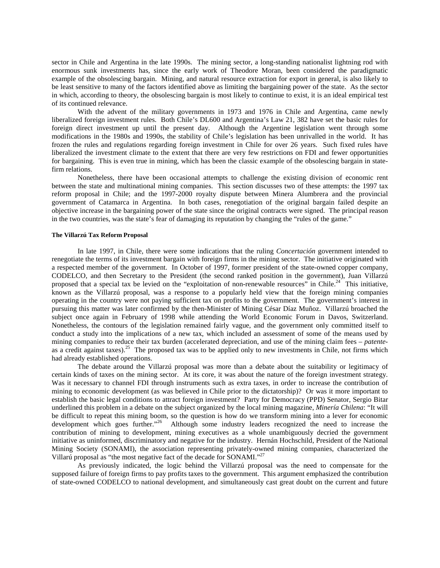sector in Chile and Argentina in the late 1990s. The mining sector, a long-standing nationalist lightning rod with enormous sunk investments has, since the early work of Theodore Moran, been considered the paradigmatic example of the obsolescing bargain. Mining, and natural resource extraction for export in general, is also likely to be least sensitive to many of the factors identified above as limiting the bargaining power of the state. As the sector in which, according to theory, the obsolescing bargain is most likely to continue to exist, it is an ideal empirical test of its continued relevance.

With the advent of the military governments in 1973 and 1976 in Chile and Argentina, came newly liberalized foreign investment rules. Both Chile's DL600 and Argentina's Law 21, 382 have set the basic rules for foreign direct investment up until the present day. Although the Argentine legislation went through some modifications in the 1980s and 1990s, the stability of Chile's legislation has been unrivalled in the world. It has frozen the rules and regulations regarding foreign investment in Chile for over 26 years. Such fixed rules have liberalized the investment climate to the extent that there are very few restrictions on FDI and fewer opportunities for bargaining. This is even true in mining, which has been the classic example of the obsolescing bargain in statefirm relations.

 Nonetheless, there have been occasional attempts to challenge the existing division of economic rent between the state and multinational mining companies. This section discusses two of these attempts: the 1997 tax reform proposal in Chile; and the 1997-2000 royalty dispute between Minera Alumbrera and the provincial government of Catamarca in Argentina. In both cases, renegotiation of the original bargain failed despite an objective increase in the bargaining power of the state since the original contracts were signed. The principal reason in the two countries, was the state's fear of damaging its reputation by changing the "rules of the game."

#### **The Villarzú Tax Reform Proposal**

In late 1997, in Chile, there were some indications that the ruling *Concertación* government intended to renegotiate the terms of its investment bargain with foreign firms in the mining sector. The initiative originated with a respected member of the government. In October of 1997, former president of the state-owned copper company, CODELCO, and then Secretary to the President (the second ranked position in the government), Juan Villarzú proposed that a special tax be levied on the "exploitation of non-renewable resources" in Chile.<sup>24 This</sup> initiative, known as the Villarzú proposal, was a response to a popularly held view that the foreign mining companies operating in the country were not paying sufficient tax on profits to the government. The government's interest in pursuing this matter was later confirmed by the then-Minister of Mining César Díaz Muñoz. Villarzú broached the subject once again in February of 1998 while attending the World Economic Forum in Davos, Switzerland. Nonetheless, the contours of the legislation remained fairly vague, and the government only committed itself to conduct a study into the implications of a new tax, which included an assessment of some of the means used by mining companies to reduce their tax burden (accelerated depreciation, and use of the mining claim fees – *patente*as a credit against taxes).<sup>25</sup> The proposed tax was to be applied only to new investments in Chile, not firms which had already established operations.

 The debate around the Villarzú proposal was more than a debate about the suitability or legitimacy of certain kinds of taxes on the mining sector. At its core, it was about the nature of the foreign investment strategy. Was it necessary to channel FDI through instruments such as extra taxes, in order to increase the contribution of mining to economic development (as was believed in Chile prior to the dictatorship)? Or was it more important to establish the basic legal conditions to attract foreign investment? Party for Democracy (PPD) Senator, Sergio Bitar underlined this problem in a debate on the subject organized by the local mining magazine, *Minería Chilena*: "It will be difficult to repeat this mining boom, so the question is how do we transform mining into a lever for economic development which goes further."<sup>26</sup> Although some industry leaders recognized the need to increase the contribution of mining to development, mining executives as a whole unambiguously decried the government initiative as uninformed, discriminatory and negative for the industry. Hernán Hochschild, President of the National Mining Society (SONAMI), the association representing privately-owned mining companies, characterized the Villarú proposal as "the most negative fact of the decade for SONAMI."<sup>27</sup>

 As previously indicated, the logic behind the Villarzú proposal was the need to compensate for the supposed failure of foreign firms to pay profits taxes to the government. This argument emphasized the contribution of state-owned CODELCO to national development, and simultaneously cast great doubt on the current and future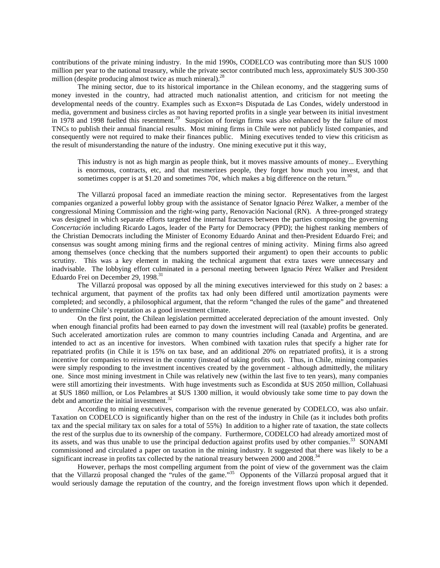contributions of the private mining industry. In the mid 1990s, CODELCO was contributing more than \$US 1000 million per year to the national treasury, while the private sector contributed much less, approximately \$US 300-350 million (despite producing almost twice as much mineral).<sup>28</sup>

 The mining sector, due to its historical importance in the Chilean economy, and the staggering sums of money invested in the country, had attracted much nationalist attention, and criticism for not meeting the developmental needs of the country. Examples such as Exxon=s Disputada de Las Condes, widely understood in media, government and business circles as not having reported profits in a single year between its initial investment in 1978 and 1998 fuelled this resentment.<sup>29</sup> Suspicion of foreign firms was also enhanced by the failure of most TNCs to publish their annual financial results. Most mining firms in Chile were not publicly listed companies, and consequently were not required to make their finances public. Mining executives tended to view this criticism as the result of misunderstanding the nature of the industry. One mining executive put it this way,

This industry is not as high margin as people think, but it moves massive amounts of money... Everything is enormous, contracts, etc, and that mesmerizes people, they forget how much you invest, and that sometimes copper is at \$1.20 and sometimes 70 $\varphi$ , which makes a big difference on the return.<sup>30</sup>

 The Villarzú proposal faced an immediate reaction the mining sector. Representatives from the largest companies organized a powerful lobby group with the assistance of Senator Ignacio Pérez Walker, a member of the congressional Mining Commission and the right-wing party, Renovación Nacional (RN). A three-pronged strategy was designed in which separate efforts targeted the internal fractures between the parties composing the governing *Concertación* including Ricardo Lagos, leader of the Party for Democracy (PPD); the highest ranking members of the Christian Democrats including the Minister of Economy Eduardo Aninat and then-President Eduardo Frei; and consensus was sought among mining firms and the regional centres of mining activity. Mining firms also agreed among themselves (once checking that the numbers supported their argument) to open their accounts to public scrutiny. This was a key element in making the technical argument that extra taxes were unnecessary and inadvisable. The lobbying effort culminated in a personal meeting between Ignacio Pérez Walker and President Eduardo Frei on December 29, 1998.<sup>31</sup>

 The Villarzú proposal was opposed by all the mining executives interviewed for this study on 2 bases: a technical argument, that payment of the profits tax had only been differed until amortization payments were completed; and secondly, a philosophical argument, that the reform "changed the rules of the game" and threatened to undermine Chile's reputation as a good investment climate.

 On the first point, the Chilean legislation permitted accelerated depreciation of the amount invested. Only when enough financial profits had been earned to pay down the investment will real (taxable) profits be generated. Such accelerated amortization rules are common to many countries including Canada and Argentina, and are intended to act as an incentive for investors. When combined with taxation rules that specify a higher rate for repatriated profits (in Chile it is 15% on tax base, and an additional 20% on repatriated profits), it is a strong incentive for companies to reinvest in the country (instead of taking profits out). Thus, in Chile, mining companies were simply responding to the investment incentives created by the government - although admittedly, the military one. Since most mining investment in Chile was relatively new (within the last five to ten years), many companies were still amortizing their investments. With huge investments such as Escondida at \$US 2050 million, Collahuasi at \$US 1860 million, or Los Pelambres at \$US 1300 million, it would obviously take some time to pay down the debt and amortize the initial investment.<sup>32</sup>

 According to mining executives, comparison with the revenue generated by CODELCO, was also unfair. Taxation on CODELCO is significantly higher than on the rest of the industry in Chile (as it includes both profits tax and the special military tax on sales for a total of 55%) In addition to a higher rate of taxation, the state collects the rest of the surplus due to its ownership of the company. Furthermore, CODELCO had already amortized most of its assets, and was thus unable to use the principal deduction against profits used by other companies.<sup>33</sup> SONAMI commissioned and circulated a paper on taxation in the mining industry. It suggested that there was likely to be a significant increase in profits tax collected by the national treasury between 2000 and 2008.<sup>34</sup>

 However, perhaps the most compelling argument from the point of view of the government was the claim that the Villarzú proposal changed the "rules of the game."35 Opponents of the Villarzú proposal argued that it would seriously damage the reputation of the country, and the foreign investment flows upon which it depended.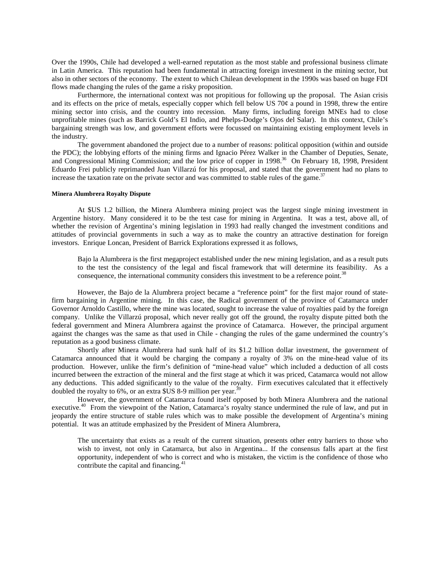Over the 1990s, Chile had developed a well-earned reputation as the most stable and professional business climate in Latin America. This reputation had been fundamental in attracting foreign investment in the mining sector, but also in other sectors of the economy. The extent to which Chilean development in the 1990s was based on huge FDI flows made changing the rules of the game a risky proposition.

 Furthermore, the international context was not propitious for following up the proposal. The Asian crisis and its effects on the price of metals, especially copper which fell below US 70 $\varphi$  a pound in 1998, threw the entire mining sector into crisis, and the country into recession. Many firms, including foreign MNEs had to close unprofitable mines (such as Barrick Gold's El Indio, and Phelps-Dodge's Ojos del Salar). In this context, Chile's bargaining strength was low, and government efforts were focussed on maintaining existing employment levels in the industry.

 The government abandoned the project due to a number of reasons: political opposition (within and outside the PDC); the lobbying efforts of the mining firms and Ignacio Pérez Walker in the Chamber of Deputies, Senate, and Congressional Mining Commission; and the low price of copper in 1998.<sup>36</sup> On February 18, 1998, President Eduardo Frei publicly reprimanded Juan Villarzú for his proposal, and stated that the government had no plans to increase the taxation rate on the private sector and was committed to stable rules of the game. $37$ 

#### **Minera Alumbrera Royalty Dispute**

 At \$US 1.2 billion, the Minera Alumbrera mining project was the largest single mining investment in Argentine history. Many considered it to be the test case for mining in Argentina. It was a test, above all, of whether the revision of Argentina's mining legislation in 1993 had really changed the investment conditions and attitudes of provincial governments in such a way as to make the country an attractive destination for foreign investors. Enrique Loncan, President of Barrick Explorations expressed it as follows,

Bajo la Alumbrera is the first megaproject established under the new mining legislation, and as a result puts to the test the consistency of the legal and fiscal framework that will determine its feasibility. As a consequence, the international community considers this investment to be a reference point.<sup>38</sup>

 However, the Bajo de la Alumbrera project became a "reference point" for the first major round of statefirm bargaining in Argentine mining. In this case, the Radical government of the province of Catamarca under Governor Arnoldo Castillo, where the mine was located, sought to increase the value of royalties paid by the foreign company. Unlike the Villarzú proposal, which never really got off the ground, the royalty dispute pitted both the federal government and Minera Alumbrera against the province of Catamarca. However, the principal argument against the changes was the same as that used in Chile - changing the rules of the game undermined the country's reputation as a good business climate.

 Shortly after Minera Alumbrera had sunk half of its \$1.2 billion dollar investment, the government of Catamarca announced that it would be charging the company a royalty of 3% on the mine-head value of its production. However, unlike the firm's definition of "mine-head value" which included a deduction of all costs incurred between the extraction of the mineral and the first stage at which it was priced, Catamarca would not allow any deductions. This added significantly to the value of the royalty. Firm executives calculated that it effectively doubled the royalty to 6%, or an extra \$US 8-9 million per year.<sup>39</sup>

 However, the government of Catamarca found itself opposed by both Minera Alumbrera and the national executive.<sup>40</sup> From the viewpoint of the Nation, Catamarca's royalty stance undermined the rule of law, and put in jeopardy the entire structure of stable rules which was to make possible the development of Argentina's mining potential. It was an attitude emphasized by the President of Minera Alumbrera,

The uncertainty that exists as a result of the current situation, presents other entry barriers to those who wish to invest, not only in Catamarca, but also in Argentina... If the consensus falls apart at the first opportunity, independent of who is correct and who is mistaken, the victim is the confidence of those who contribute the capital and financing.<sup>41</sup>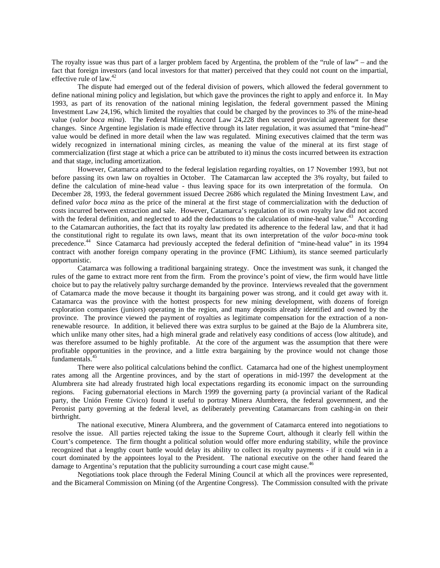The royalty issue was thus part of a larger problem faced by Argentina, the problem of the "rule of law" – and the fact that foreign investors (and local investors for that matter) perceived that they could not count on the impartial, effective rule of law.<sup>42</sup>

 The dispute had emerged out of the federal division of powers, which allowed the federal government to define national mining policy and legislation, but which gave the provinces the right to apply and enforce it. In May 1993, as part of its renovation of the national mining legislation, the federal government passed the Mining Investment Law 24,196, which limited the royalties that could be charged by the provinces to 3% of the mine-head value (*valor boca mina*). The Federal Mining Accord Law 24,228 then secured provincial agreement for these changes. Since Argentine legislation is made effective through its later regulation, it was assumed that "mine-head" value would be defined in more detail when the law was regulated. Mining executives claimed that the term was widely recognized in international mining circles, as meaning the value of the mineral at its first stage of commercialization (first stage at which a price can be attributed to it) minus the costs incurred between its extraction and that stage, including amortization.

 However, Catamarca adhered to the federal legislation regarding royalties, on 17 November 1993, but not before passing its own law on royalties in October. The Catamarcan law accepted the 3% royalty, but failed to define the calculation of mine-head value - thus leaving space for its own interpretation of the formula. On December 28, 1993, the federal government issued Decree 2686 which regulated the Mining Investment Law, and defined *valor boca mina* as the price of the mineral at the first stage of commercialization with the deduction of costs incurred between extraction and sale. However, Catamarca's regulation of its own royalty law did not accord with the federal definition, and neglected to add the deductions to the calculation of mine-head value.<sup>43</sup> According to the Catamarcan authorities, the fact that its royalty law predated its adherence to the federal law, and that it had the constitutional right to regulate its own laws, meant that its own interpretation of the *valor boca-mina* took precedence.44 Since Catamarca had previously accepted the federal definition of "mine-head value" in its 1994 contract with another foreign company operating in the province (FMC Lithium), its stance seemed particularly opportunistic.

 Catamarca was following a traditional bargaining strategy. Once the investment was sunk, it changed the rules of the game to extract more rent from the firm. From the province's point of view, the firm would have little choice but to pay the relatively paltry surcharge demanded by the province. Interviews revealed that the government of Catamarca made the move because it thought its bargaining power was strong, and it could get away with it. Catamarca was the province with the hottest prospects for new mining development, with dozens of foreign exploration companies (juniors) operating in the region, and many deposits already identified and owned by the province. The province viewed the payment of royalties as legitimate compensation for the extraction of a nonrenewable resource. In addition, it believed there was extra surplus to be gained at the Bajo de la Alumbrera site, which unlike many other sites, had a high mineral grade and relatively easy conditions of access (low altitude), and was therefore assumed to be highly profitable. At the core of the argument was the assumption that there were profitable opportunities in the province, and a little extra bargaining by the province would not change those fundamentals.<sup>45</sup>

 There were also political calculations behind the conflict. Catamarca had one of the highest unemployment rates among all the Argentine provinces, and by the start of operations in mid-1997 the development at the Alumbrera site had already frustrated high local expectations regarding its economic impact on the surrounding regions. Facing gubernatorial elections in March 1999 the governing party (a provincial variant of the Radical party, the Unión Frente Cívico) found it useful to portray Minera Alumbrera, the federal government, and the Peronist party governing at the federal level, as deliberately preventing Catamarcans from cashing-in on their birthright.

 The national executive, Minera Alumbrera, and the government of Catamarca entered into negotiations to resolve the issue. All parties rejected taking the issue to the Supreme Court, although it clearly fell within the Court's competence. The firm thought a political solution would offer more enduring stability, while the province recognized that a lengthy court battle would delay its ability to collect its royalty payments - if it could win in a court dominated by the appointees loyal to the President. The national executive on the other hand feared the damage to Argentina's reputation that the publicity surrounding a court case might cause.<sup>46</sup>

 Negotiations took place through the Federal Mining Council at which all the provinces were represented, and the Bicameral Commission on Mining (of the Argentine Congress). The Commission consulted with the private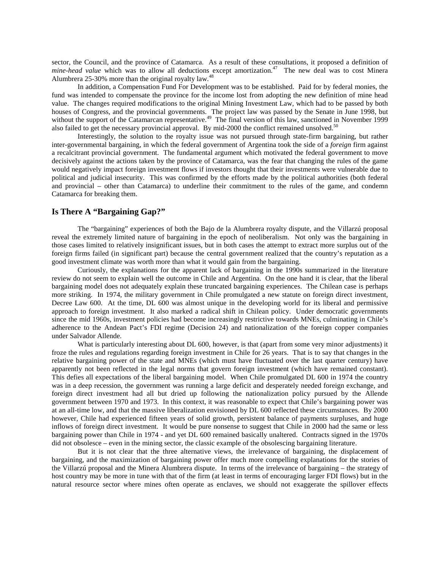sector, the Council, and the province of Catamarca. As a result of these consultations, it proposed a definition of *mine-head value* which was to allow all deductions except amortization.<sup>47</sup> The new deal was to cost Minera Alumbrera 25-30% more than the original royalty law.<sup>48</sup>

 In addition, a Compensation Fund For Development was to be established. Paid for by federal monies, the fund was intended to compensate the province for the income lost from adopting the new definition of mine head value. The changes required modifications to the original Mining Investment Law, which had to be passed by both houses of Congress, and the provincial governments. The project law was passed by the Senate in June 1998, but without the support of the Catamarcan representative.<sup>49</sup> The final version of this law, sanctioned in November 1999 also failed to get the necessary provincial approval. By mid-2000 the conflict remained unsolved.<sup>50</sup>

 Interestingly, the solution to the royalty issue was not pursued through state-firm bargaining, but rather inter-governmental bargaining, in which the federal government of Argentina took the side of a *foreign* firm against a recalcitrant provincial government. The fundamental argument which motivated the federal government to move decisively against the actions taken by the province of Catamarca, was the fear that changing the rules of the game would negatively impact foreign investment flows if investors thought that their investments were vulnerable due to political and judicial insecurity. This was confirmed by the efforts made by the political authorities (both federal and provincial – other than Catamarca) to underline their commitment to the rules of the game, and condemn Catamarca for breaking them.

### **Is There A "Bargaining Gap?"**

 The "bargaining" experiences of both the Bajo de la Alumbrera royalty dispute, and the Villarzú proposal reveal the extremely limited nature of bargaining in the epoch of neoliberalism. Not only was the bargaining in those cases limited to relatively insignificant issues, but in both cases the attempt to extract more surplus out of the foreign firms failed (in significant part) because the central government realized that the country's reputation as a good investment climate was worth more than what it would gain from the bargaining.

 Curiously, the explanations for the apparent lack of bargaining in the 1990s summarized in the literature review do not seem to explain well the outcome in Chile and Argentina. On the one hand it is clear, that the liberal bargaining model does not adequately explain these truncated bargaining experiences. The Chilean case is perhaps more striking. In 1974, the military government in Chile promulgated a new statute on foreign direct investment, Decree Law 600. At the time, DL 600 was almost unique in the developing world for its liberal and permissive approach to foreign investment. It also marked a radical shift in Chilean policy. Under democratic governments since the mid 1960s, investment policies had become increasingly restrictive towards MNEs, culminating in Chile's adherence to the Andean Pact's FDI regime (Decision 24) and nationalization of the foreign copper companies under Salvador Allende.

What is particularly interesting about DL 600, however, is that (apart from some very minor adjustments) it froze the rules and regulations regarding foreign investment in Chile for 26 years. That is to say that changes in the relative bargaining power of the state and MNEs (which must have fluctuated over the last quarter century) have apparently not been reflected in the legal norms that govern foreign investment (which have remained constant). This defies all expectations of the liberal bargaining model. When Chile promulgated DL 600 in 1974 the country was in a deep recession, the government was running a large deficit and desperately needed foreign exchange, and foreign direct investment had all but dried up following the nationalization policy pursued by the Allende government between 1970 and 1973. In this context, it was reasonable to expect that Chile's bargaining power was at an all-time low, and that the massive liberalization envisioned by DL 600 reflected these circumstances. By 2000 however, Chile had experienced fifteen years of solid growth, persistent balance of payments surpluses, and huge inflows of foreign direct investment. It would be pure nonsense to suggest that Chile in 2000 had the same or less bargaining power than Chile in 1974 - and yet DL 600 remained basically unaltered. Contracts signed in the 1970s did not obsolesce – even in the mining sector, the classic example of the obsolescing bargaining literature.

But it is not clear that the three alternative views, the irrelevance of bargaining, the displacement of bargaining, and the maximization of bargaining power offer much more compelling explanations for the stories of the Villarzú proposal and the Minera Alumbrera dispute. In terms of the irrelevance of bargaining – the strategy of host country may be more in tune with that of the firm (at least in terms of encouraging larger FDI flows) but in the natural resource sector where mines often operate as enclaves, we should not exaggerate the spillover effects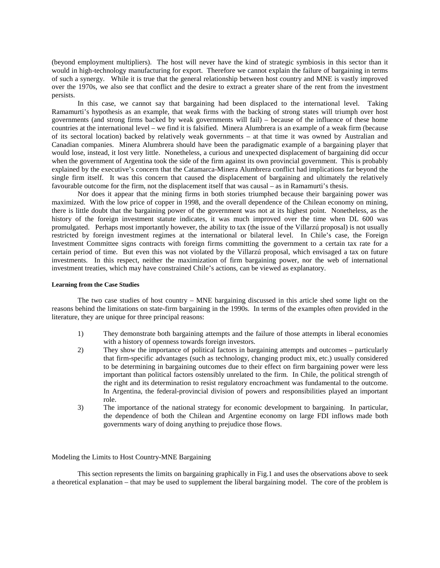(beyond employment multipliers). The host will never have the kind of strategic symbiosis in this sector than it would in high-technology manufacturing for export. Therefore we cannot explain the failure of bargaining in terms of such a synergy. While it is true that the general relationship between host country and MNE is vastly improved over the 1970s, we also see that conflict and the desire to extract a greater share of the rent from the investment persists.

In this case, we cannot say that bargaining had been displaced to the international level. Taking Ramamurti's hypothesis as an example, that weak firms with the backing of strong states will triumph over host governments (and strong firms backed by weak governments will fail) – because of the influence of these home countries at the international level – we find it is falsified. Minera Alumbrera is an example of a weak firm (because of its sectoral location) backed by relatively weak governments – at that time it was owned by Australian and Canadian companies. Minera Alumbrera should have been the paradigmatic example of a bargaining player that would lose, instead, it lost very little. Nonetheless, a curious and unexpected displacement of bargaining did occur when the government of Argentina took the side of the firm against its own provincial government. This is probably explained by the executive's concern that the Catamarca-Minera Alumbrera conflict had implications far beyond the single firm itself. It was this concern that caused the displacement of bargaining and ultimately the relatively favourable outcome for the firm, not the displacement itself that was causal – as in Ramamurti's thesis.

Nor does it appear that the mining firms in both stories triumphed because their bargaining power was maximized. With the low price of copper in 1998, and the overall dependence of the Chilean economy on mining, there is little doubt that the bargaining power of the government was not at its highest point. Nonetheless, as the history of the foreign investment statute indicates, it was much improved over the time when DL 600 was promulgated. Perhaps most importantly however, the ability to tax (the issue of the Villarzú proposal) is not usually restricted by foreign investment regimes at the international or bilateral level. In Chile's case, the Foreign Investment Committee signs contracts with foreign firms committing the government to a certain tax rate for a certain period of time. But even this was not violated by the Villarzú proposal, which envisaged a tax on future investments. In this respect, neither the maximization of firm bargaining power, nor the web of international investment treaties, which may have constrained Chile's actions, can be viewed as explanatory.

#### **Learning from the Case Studies**

The two case studies of host country – MNE bargaining discussed in this article shed some light on the reasons behind the limitations on state-firm bargaining in the 1990s. In terms of the examples often provided in the literature, they are unique for three principal reasons:

- 1) They demonstrate both bargaining attempts and the failure of those attempts in liberal economies with a history of openness towards foreign investors.
- 2) They show the importance of political factors in bargaining attempts and outcomes particularly that firm-specific advantages (such as technology, changing product mix, etc.) usually considered to be determining in bargaining outcomes due to their effect on firm bargaining power were less important than political factors ostensibly unrelated to the firm. In Chile, the political strength of the right and its determination to resist regulatory encroachment was fundamental to the outcome. In Argentina, the federal-provincial division of powers and responsibilities played an important role.
- 3) The importance of the national strategy for economic development to bargaining. In particular, the dependence of both the Chilean and Argentine economy on large FDI inflows made both governments wary of doing anything to prejudice those flows.

#### Modeling the Limits to Host Country-MNE Bargaining

This section represents the limits on bargaining graphically in Fig.1 and uses the observations above to seek a theoretical explanation – that may be used to supplement the liberal bargaining model. The core of the problem is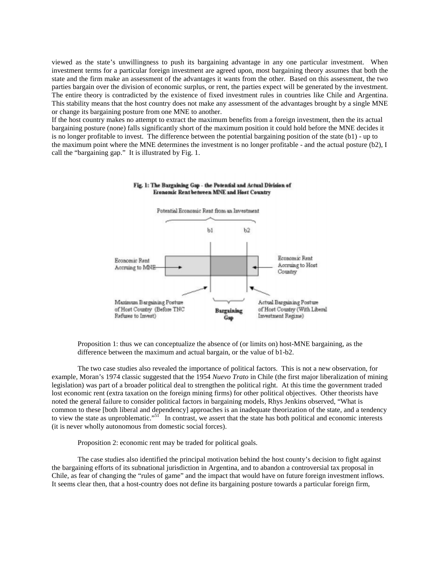viewed as the state's unwillingness to push its bargaining advantage in any one particular investment. When investment terms for a particular foreign investment are agreed upon, most bargaining theory assumes that both the state and the firm make an assessment of the advantages it wants from the other. Based on this assessment, the two parties bargain over the division of economic surplus, or rent, the parties expect will be generated by the investment. The entire theory is contradicted by the existence of fixed investment rules in countries like Chile and Argentina. This stability means that the host country does not make any assessment of the advantages brought by a single MNE or change its bargaining posture from one MNE to another.

If the host country makes no attempt to extract the maximum benefits from a foreign investment, then the its actual bargaining posture (none) falls significantly short of the maximum position it could hold before the MNE decides it is no longer profitable to invest. The difference between the potential bargaining position of the state (b1) - up to the maximum point where the MNE determines the investment is no longer profitable - and the actual posture (b2), I call the "bargaining gap." It is illustrated by Fig. 1.



## Fig. 1: The Bargaining Gap - the Potential and Actual Division of **Economic Rent between MNE and Host Country**

Proposition 1: thus we can conceptualize the absence of (or limits on) host-MNE bargaining, as the difference between the maximum and actual bargain, or the value of b1-b2.

 The two case studies also revealed the importance of political factors. This is not a new observation, for example, Moran's 1974 classic suggested that the 1954 *Nuevo Trato* in Chile (the first major liberalization of mining legislation) was part of a broader political deal to strengthen the political right. At this time the government traded lost economic rent (extra taxation on the foreign mining firms) for other political objectives. Other theorists have noted the general failure to consider political factors in bargaining models, Rhys Jenkins observed, "What is common to these [both liberal and dependency] approaches is an inadequate theorization of the state, and a tendency to view the state as unproblematic."<sup>51</sup> In contrast, we assert that the state has both political and economic interests (it is never wholly autonomous from domestic social forces).

Proposition 2: economic rent may be traded for political goals.

The case studies also identified the principal motivation behind the host county's decision to fight against the bargaining efforts of its subnational jurisdiction in Argentina, and to abandon a controversial tax proposal in Chile, as fear of changing the "rules of game" and the impact that would have on future foreign investment inflows. It seems clear then, that a host-country does not define its bargaining posture towards a particular foreign firm,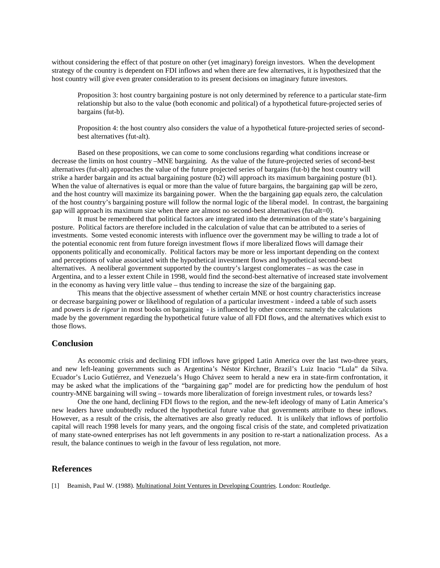without considering the effect of that posture on other (yet imaginary) foreign investors. When the development strategy of the country is dependent on FDI inflows and when there are few alternatives, it is hypothesized that the host country will give even greater consideration to its present decisions on imaginary future investors.

Proposition 3: host country bargaining posture is not only determined by reference to a particular state-firm relationship but also to the value (both economic and political) of a hypothetical future-projected series of bargains (fut-b).

Proposition 4: the host country also considers the value of a hypothetical future-projected series of secondbest alternatives (fut-alt).

Based on these propositions, we can come to some conclusions regarding what conditions increase or decrease the limits on host country –MNE bargaining. As the value of the future-projected series of second-best alternatives (fut-alt) approaches the value of the future projected series of bargains (fut-b) the host country will strike a harder bargain and its actual bargaining posture (b2) will approach its maximum bargaining posture (b1). When the value of alternatives is equal or more than the value of future bargains, the bargaining gap will be zero, and the host country will maximize its bargaining power. When the the bargaining gap equals zero, the calculation of the host country's bargaining posture will follow the normal logic of the liberal model. In contrast, the bargaining gap will approach its maximum size when there are almost no second-best alternatives (fut-alt=0).

It must be remembered that political factors are integrated into the determination of the state's bargaining posture. Political factors are therefore included in the calculation of value that can be attributed to a series of investments. Some vested economic interests with influence over the government may be willing to trade a lot of the potential economic rent from future foreign investment flows if more liberalized flows will damage their opponents politically and economically. Political factors may be more or less important depending on the context and perceptions of value associated with the hypothetical investment flows and hypothetical second-best alternatives. A neoliberal government supported by the country's largest conglomerates – as was the case in Argentina, and to a lesser extent Chile in 1998, would find the second-best alternative of increased state involvement in the economy as having very little value – thus tending to increase the size of the bargaining gap.

This means that the objective assessment of whether certain MNE or host country characteristics increase or decrease bargaining power or likelihood of regulation of a particular investment - indeed a table of such assets and powers is *de rigeur* in most books on bargaining - is influenced by other concerns: namely the calculations made by the government regarding the hypothetical future value of all FDI flows, and the alternatives which exist to those flows.

### **Conclusion**

As economic crisis and declining FDI inflows have gripped Latin America over the last two-three years, and new left-leaning governments such as Argentina's Néstor Kirchner, Brazil's Luiz Inacio "Lula" da Silva. Ecuador's Lucio Gutiérrez, and Venezuela's Hugo Chávez seem to herald a new era in state-firm confrontation, it may be asked what the implications of the "bargaining gap" model are for predicting how the pendulum of host country-MNE bargaining will swing – towards more liberalization of foreign investment rules, or towards less?

 One the one hand, declining FDI flows to the region, and the new-left ideology of many of Latin America's new leaders have undoubtedly reduced the hypothetical future value that governments attribute to these inflows. However, as a result of the crisis, the alternatives are also greatly reduced. It is unlikely that inflows of portfolio capital will reach 1998 levels for many years, and the ongoing fiscal crisis of the state, and completed privatization of many state-owned enterprises has not left governments in any position to re-start a nationalization process. As a result, the balance continues to weigh in the favour of less regulation, not more.

### **References**

[1] Beamish, Paul W. (1988). Multinational Joint Ventures in Developing Countries. London: Routledge.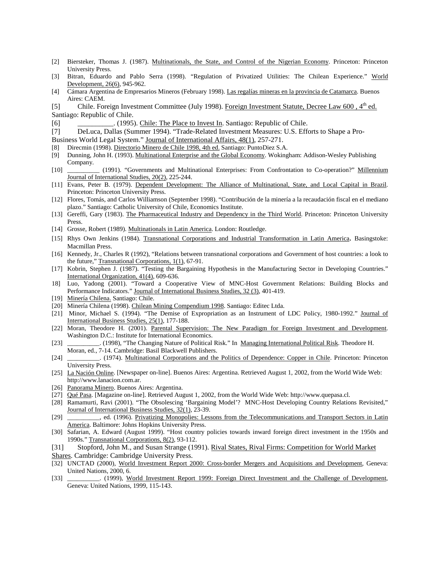- [2] Biersteker, Thomas J. (1987). Multinationals, the State, and Control of the Nigerian Economy. Princeton: Princeton University Press.
- [3] Bitran, Eduardo and Pablo Serra (1998). "Regulation of Privatized Utilities: The Chilean Experience." World Development, 26(6), 945-962.
- [4] Cámara Argentina de Empresarios Mineros (February 1998). Las regalías mineras en la provincia de Catamarca. Buenos Aires: CAEM.
- [5] Chile. Foreign Investment Committee (July 1998). Foreign Investment Statute, Decree Law 600, 4<sup>th</sup> ed.
- Santiago: Republic of Chile.
- [6] \_\_\_\_\_\_\_\_\_\_. (1995). Chile: The Place to Invest In. Santiago: Republic of Chile.
- [7] DeLuca, Dallas (Summer 1994). "Trade-Related Investment Measures: U.S. Efforts to Shape a Pro-
- Business World Legal System." Journal of International Affairs, 48(1), 257-271.
- [8] Direcmin (1998). Directorio Minero de Chile 1998, 4th ed. Santiago: PuntoDiez S.A.
- [9] Dunning, John H. (1993). Multinational Enterprise and the Global Economy. Wokingham: Addison-Wesley Publishing Company.
- [10] \_\_\_\_\_\_\_\_\_\_ (1991). "Governments and Multinational Enterprises: From Confrontation to Co-operation?" Millennium Journal of International Studies, 20(2), 225-244.
- [11] Evans, Peter B. (1979). Dependent Development: The Alliance of Multinational, State, and Local Capital in Brazil. Princeton: Princeton University Press.
- [12] Flores, Tomás, and Carlos Williamson (September 1998). "Contribución de la minería a la recaudación fiscal en el mediano plazo." Santiago: Catholic University of Chile, Economics Institute.
- [13] Gereffi, Gary (1983). The Pharmaceutical Industry and Dependency in the Third World. Princeton: Princeton University Press.
- [14] Grosse, Robert (1989). Multinationals in Latin America. London: Routledge.
- [15] Rhys Own Jenkins (1984). Transnational Corporations and Industrial Transformation in Latin America. Basingstoke: Macmillan Press.
- [16] Kennedy, Jr., Charles R (1992), "Relations between transnational corporations and Government of host countries: a look to the future," Transnational Corporations, 1(1), 67-91.
- [17] Kobrin, Stephen J. (1987). "Testing the Bargaining Hypothesis in the Manufacturing Sector in Developing Countries." International Organization, 41(4), 609-636.
- 18] Luo, Yadong (2001). "Toward a Cooperative View of MNC-Host Government Relations: Building Blocks and Performance Indicators." Journal of International Business Studies, 32 (3), 401-419.
- [19] Minería Chilena. Santiago: Chile.
- [20] Minería Chilena (1998). Chilean Mining Compendium 1998. Santiago: Editec Ltda.
- [21] Minor, Michael S. (1994). "The Demise of Expropriation as an Instrument of LDC Policy, 1980-1992." Journal of International Business Studies, 25(1), 177-188.
- [22] Moran, Theodore H. (2001). Parental Supervision: The New Paradigm for Foreign Investment and Development. Washington D.C.: Institute for International Economics.
- [23] \_\_\_\_\_\_\_\_\_\_. (1998), "The Changing Nature of Political Risk." In Managing International Political Risk. Theodore H. Moran, ed., 7-14. Cambridge: Basil Blackwell Publishers.
- [24] \_\_\_\_\_\_\_\_\_\_. (1974). Multinational Corporations and the Politics of Dependence: Copper in Chile. Princeton: Princeton University Press.
- [25] La Nación Online. [Newspaper on-line]. Buenos Aires: Argentina. Retrieved August 1, 2002, from the World Wide Web: http://www.lanacion.com.ar.
- [26] Panorama Minero. Buenos Aires: Argentina.
- [27] Qué Pasa. [Magazine on-line]. Retrieved August 1, 2002, from the World Wide Web: http://www.quepasa.cl.
- [28] Ramamurti, Ravi (2001). "The Obsolescing 'Bargaining Model'? MNC-Host Developing Country Relations Revisited," Journal of International Business Studies, 32(1), 23-39.
- [29] \_\_\_\_\_\_\_, ed. (1996). Privatizing Monopolies: Lessons from the Telecommunications and Transport Sectors in Latin America. Baltimore: Johns Hopkins University Press.
- [30] Safarian, A. Edward (August 1999). "Host country policies towards inward foreign direct investment in the 1950s and 1990s." Transnational Corporations, 8(2), 93-112.
- [31] Stopford, John M., and Susan Strange (1991). Rival States, Rival Firms: Competition for World Market
- Shares. Cambridge: Cambridge University Press.
- [32] UNCTAD (2000), World Investment Report 2000: Cross-border Mergers and Acquisitions and Development, Geneva: United Nations, 2000, 6.
- [33] \_\_\_\_\_\_\_\_\_\_. (1999), World Investment Report 1999: Foreign Direct Investment and the Challenge of Development, Geneva: United Nations, 1999, 115-143.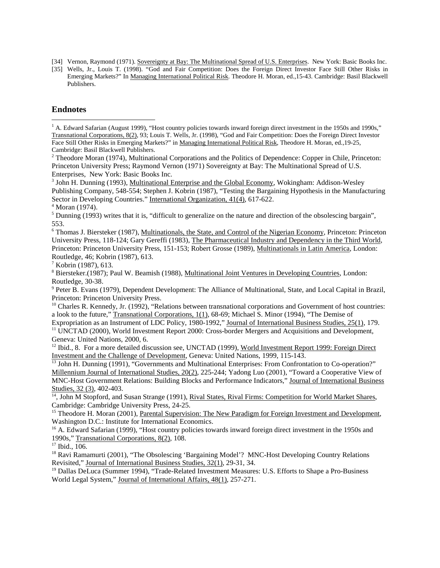- [34] Vernon, Raymond (1971). Sovereignty at Bay: The Multinational Spread of U.S. Enterprises. New York: Basic Books Inc.
- [35] Wells, Jr., Louis T. (1998). "God and Fair Competition: Does the Foreign Direct Investor Face Still Other Risks in Emerging Markets?" In Managing International Political Risk. Theodore H. Moran, ed.,15-43. Cambridge: Basil Blackwell Publishers.

# **Endnotes**

 $\overline{a}$ 

<sup>1</sup> A. Edward Safarian (August 1999), "Host country policies towards inward foreign direct investment in the 1950s and 1990s," Transnational Corporations, 8(2), 93; Louis T. Wells, Jr. (1998), "God and Fair Competition: Does the Foreign Direct Investor Face Still Other Risks in Emerging Markets?" in Managing International Political Risk, Theodore H. Moran, ed.,19-25, Cambridge: Basil Blackwell Publishers.

 $2^2$  Theodore Moran (1974), Multinational Corporations and the Politics of Dependence: Copper in Chile, Princeton: Princeton University Press; Raymond Vernon (1971) Sovereignty at Bay: The Multinational Spread of U.S. Enterprises, New York: Basic Books Inc.

<sup>3</sup> John H. Dunning (1993), Multinational Enterprise and the Global Economy, Wokingham: Addison-Wesley Publishing Company, 548-554; Stephen J. Kobrin (1987), "Testing the Bargaining Hypothesis in the Manufacturing Sector in Developing Countries." International Organization, 41(4), 617-622.

 $<sup>5</sup>$  Dunning (1993) writes that it is, "difficult to generalize on the nature and direction of the obsolescing bargain",</sup> 553.

<sup>6</sup> Thomas J. Biersteker (1987), Multinationals, the State, and Control of the Nigerian Economy, Princeton: Princeton University Press, 118-124; Gary Gereffi (1983), The Pharmaceutical Industry and Dependency in the Third World, Princeton: Princeton University Press, 151-153; Robert Grosse (1989), Multinationals in Latin America, London: Routledge, 46; Kobrin (1987), 613.

7 Kobrin (1987), 613.

<sup>8</sup> Biersteker.(1987); Paul W. Beamish (1988), Multinational Joint Ventures in Developing Countries, London: Routledge, 30-38.

<sup>9</sup> Peter B. Evans (1979), Dependent Development: The Alliance of Multinational, State, and Local Capital in Brazil, Princeton: Princeton University Press.

<sup>10</sup> Charles R. Kennedy, Jr. (1992), "Relations between transnational corporations and Government of host countries: a look to the future," Transnational Corporations, 1(1), 68-69; Michael S. Minor (1994), "The Demise of

Expropriation as an Instrument of LDC Policy, 1980-1992," Journal of International Business Studies, 25(1), 179.<br><sup>11</sup> UNCTAD (2000), World Investment Report 2000: Cross-border Mergers and Acquisitions and Development, Geneva: United Nations, 2000, 6.

<sup>12</sup> Ibid., 8. For a more detailed discussion see, UNCTAD (1999), World Investment Report 1999: Foreign Direct Investment and the Challenge of Development, Geneva: United Nations, 1999, 115-143.

 $13$  John H. Dunning (1991), "Governments and Multinational Enterprises: From Confrontation to Co-operation?" Millennium Journal of International Studies, 20(2), 225-244; Yadong Luo (2001), "Toward a Cooperative View of MNC-Host Government Relations: Building Blocks and Performance Indicators," Journal of International Business<br>Studies, 32 (3), 402-403.

<sup>14</sup>, John M Stopford, and Susan Strange (1991), Rival States, Rival Firms: Competition for World Market Shares, Cambridge: Cambridge University Press, 24-25.

<sup>15</sup> Theodore H. Moran (2001), Parental Supervision: The New Paradigm for Foreign Investment and Development, Washington D.C.: Institute for International Economics.

<sup>16</sup> A. Edward Safarian (1999), "Host country policies towards inward foreign direct investment in the 1950s and 1990s," Transnational Corporations, 8(2), 108. 17 Ibid., 106.

<sup>18</sup> Ravi Ramamurti (2001), "The Obsolescing 'Bargaining Model'? MNC-Host Developing Country Relations Revisited," <u>Journal of International Business Studies, 32(1</u>), 29-31, 34.<br><sup>19</sup> Dallas DeLuca (Summer 1994), "Trade-Related Investment Measures: U.S. Efforts to Shape a Pro-Business

World Legal System," Journal of International Affairs, 48(1), 257-271.

 $4$  Moran (1974).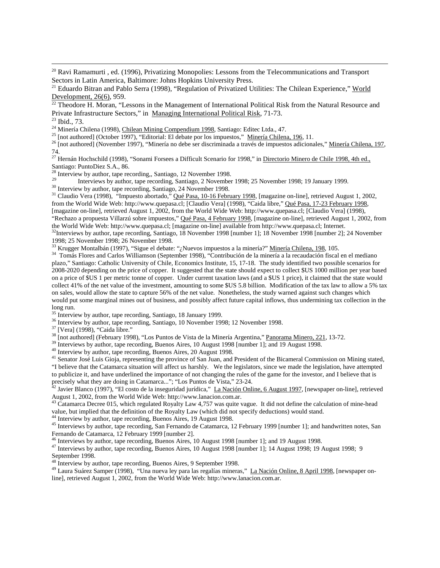$^{20}$  Ravi Ramamurti, ed. (1996), Privatizing Monopolies: Lessons from the Telecommunications and Transport Sectors in Latin America, Baltimore: Johns Hopkins University Press.

 $\frac{22}{2}$  Theodore H. Moran, "Lessons in the Management of International Political Risk from the Natural Resource and Private Infrastructure Sectors," in Managing International Political Risk, 71-73. 23 Ibid., 73.

24 Minería Chilena (1998), Chilean Mining Compendium 1998, Santiago: Editec Ltda., 47.<br>
<sup>25</sup> [not authored] (October 1997), "Editorial: El debate por los impuestos," Minería Chilena, 196, 11.<br>
<sup>26</sup> [not authored] (November 74.

<sup>27</sup> Hernán Hochschild (1998), "Sonami Forsees a Difficult Scenario for 1998," in <u>Directorio Minero de Chile 1998, 4th ed.</u>, Santiago: PuntoDiez S.A., 86.

<sup>28</sup> Interview by author, tape recording, Santiago, 12 November 1998.<br><sup>29</sup> Interviews by surplex tape recording. Sentiago, 2 November

29 Interviews by author, tape recording, Santiago, 2 November 1998; 25 November 1998; 19 January 1999.

<sup>30</sup> Interview by author, tape recording, Santiago, 24 November 1998.

 $31$  Claudio Vera (1998), "Impuesto abortado," Qué Pasa, 10-16 February 1998, [magazine on-line], retrieved August 1, 2002, from the World Wide Web: http://www.quepasa.cl; [Claudio Vera] (1998), "Caida libre," Qué Pasa, 17-23 February 1998, [magazine on-line], retrieved August 1, 2002, from the World Wide Web: http://www.quepasa.cl; [Claudio Vera] (1998), "Rechazo a propuesta Villarzú sobre impuestos," Qué Pasa, 4 February 1998, [magazine on-line], retrieved August 1, 2002, from the World Wide Web: http://www.quepasa.cl; [magazine on-line] available from http://www.quepasa.cl; Internet.

 $32$ Interviews by author, tape recording, Santiago, 18 November 1998 [number 1]; 18 November 1998 [number 2]; 24 November 1998; 25 November 1998; 26 November 1998.<br><sup>33</sup> Krugger Montalbán (1997), "Sigue el debate: "¿Nuevos impuestos a la minería?" <u>Minería Chilena, 198</u>, 105.

<sup>34</sup> Tomás Flores and Carlos Williamson (September 1998), "Contribución de la minería a la recaudación fiscal en el mediano plazo," Santiago: Catholic University of Chile, Economics Institute, 15, 17-18. The study identified two possible scenarios for 2008-2020 depending on the price of copper. It suggested that the state should expect to collect \$US 1000 million per year based on a price of \$US 1 per metric tonne of copper. Under current taxation laws (and a \$US 1 price), it claimed that the state would collect 41% of the net value of the investment, amounting to some \$US 5.8 billion. Modification of the tax law to allow a 5% tax on sales, would allow the state to capture 56% of the net value. Nonetheless, the study warned against such changes which would put some marginal mines out of business, and possibly affect future capital inflows, thus undermining tax collection in the long run.

35 Interview by author, tape recording, Santiago, 18 January 1999.

<sup>36</sup> Interview by author, tape recording, Santiago, 10 November 1998; 12 November 1998.

<sup>37</sup> [Vera] (1998), "Caida libre."<br><sup>38</sup> [not authored] (February 1998), "Los Puntos de Vista de la Minería Argentina," <u>Panorama Minero, 221</u>, 13-72.

<sup>39</sup> Interviews by author, tape recording, Buenos Aires, 10 August 1998 [number 1]; and 19 August 1998.

40 Interview by author, tape recording, Buenos Aires, 20 August 1998.

<sup>41</sup> Senator José Luis Gioja, representing the province of San Juan, and President of the Bicameral Commission on Mining stated, "I believe that the Catamarca situation will affect us harshly. We the legislators, since we made the legislation, have attempted to publicize it, and have underlined the importance of not changing the rules of the game for the investor, and I believe that is

precisely what they are doing in Catamarca..."; "Los Puntos de Vista," 23-24.

 $^{42}$  Javier Blanco (1997), "El costo de la inseguridad jurídica," La Nación Online, 6 August 1997, [newspaper on-line], retrieved August 1, 2002, from the World Wide Web: http://www.lanacion.com.ar.

 $43$  Catamarca Decree 015, which regulated Royalty Law 4,757 was quite vague. It did not define the calculation of mine-head value, but implied that the definition of the Royalty Law (which did not specify deductions) would stand.

<sup>44</sup> Interview by author, tape recording, Buenos Aires, 19 August 1998.

<sup>45</sup> Interviews by author, tape recording, San Fernando de Catamarca, 12 February 1999 [number 1]; and handwritten notes, San Fernando de Catamarca, 12 February 1999 [number 2].

46 Interviews by author, tape recording, Buenos Aires, 10 August 1998 [number 1]; and 19 August 1998.

<sup>47</sup> Interviews by author, tape recording, Buenos Aires, 10 August 1998 [number 1]; 14 August 1998; 19 August 1998; 9 September 1998.

Interview by author, tape recording, Buenos Aires, 9 September 1998.

<sup>49</sup> Laura Suárez Samper (1998), "Una nueva ley para las regalías mineras," La Nación Online, 8 April 1998, [newspaper online], retrieved August 1, 2002, from the World Wide Web: http://www.lanacion.com.ar.

<sup>&</sup>lt;sup>21</sup> Eduardo Bitran and Pablo Serra (1998), "Regulation of Privatized Utilities: The Chilean Experience," World Development,  $26(6)$ , 959.